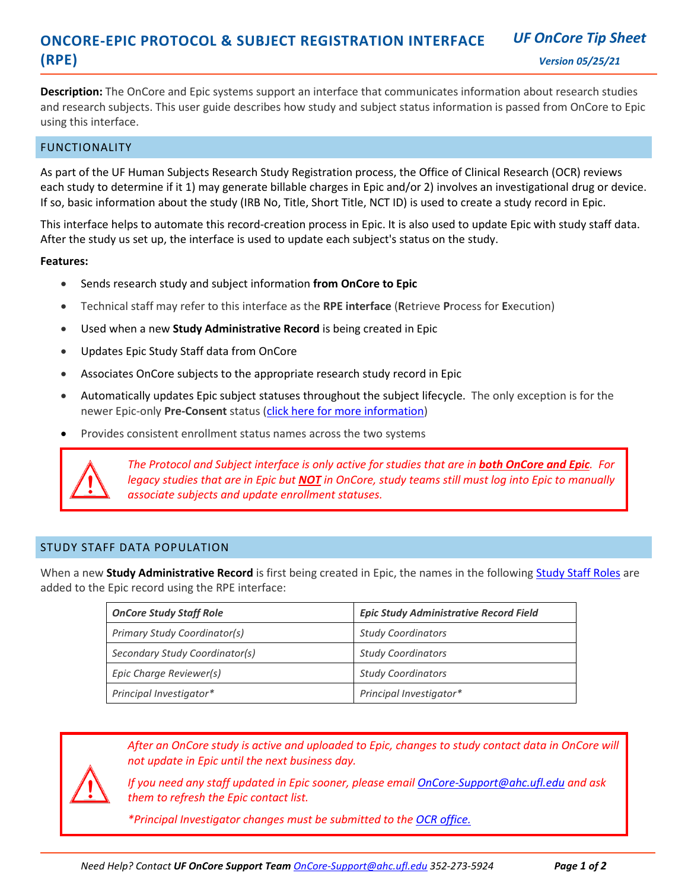#### **ONCORE-EPIC PROTOCOL & SUBJECT REGISTRATION INTERFACE (RPE)**  *UF OnCore Tip Sheet Version 05/25/21*

**Description:** The OnCore and Epic systems support an interface that communicates information about research studies and research studies and research subjects. This user guide describes how study and subject status inform using this interface.

# FUNCTIONALITY

As part of the UF Human Subjects Research Study Registration process, the Office of Clinical Research (OCR) reviews each study to determine if it 1) may generate billable charges in Epic and/or 2) involves an investigational drug or device. If so, basic information about the study (IRB No, Title, Short Title, NCT ID) is used to create a study record in Epic.

This interface helps to automate this record-creation process in Epic. It is also used to update Epic with study staff data. After the study us set up, the interface is used to update each subject's status on the study.

### **Features:**

- Sends research study and subject information **from OnCore to Epic**
- Technical staff may refer to this interface as the **RPE interface** (**R**etrieve **P**rocess for **E**xecution)
- Used when a new **Study Administrative Record** is being created in Epic
- Updates Epic Study Staff data from OnCore
- Associates OnCore subjects to the appropriate research study record in Epic
- Automatically updates Epic subject statuses throughout the subject lifecycle. The only exception is for the newer Epic-only **Pre-Consent** status [\(click here for more information\)](http://ctsi-clinicalresearch-a2.sites.medinfo.ufl.edu/training/epic-research-user-guides/use-the-epic-only-pre-consent-status/)
- Provides consistent enrollment status names across the two systems



*The Protocol and Subject interface is only active for studies that are in both OnCore and Epic. For legacy studies that are in Epic but NOT in OnCore, study teams still must log into Epic to manually associate subjects and update enrollment statuses.*

## STUDY STAFF DATA POPULATION

When a new **Study Administrative Record** is first being created in Epic, the names in the following [Study Staff Roles](http://ctsi-clinicalresearch-a2.sites.medinfo.ufl.edu/training/oncore-user-guides/protocol-coordination/assign-study-staff/) are added to the Epic record using the RPE interface:

| <b>OnCore Study Staff Role</b> | <b>Epic Study Administrative Record Field</b> |
|--------------------------------|-----------------------------------------------|
| Primary Study Coordinator(s)   | <b>Study Coordinators</b>                     |
| Secondary Study Coordinator(s) | <b>Study Coordinators</b>                     |
| Epic Charge Reviewer(s)        | <b>Study Coordinators</b>                     |
| Principal Investigator*        | Principal Investigator*                       |

*After an OnCore study is active and uploaded to Epic, changes to study contact data in OnCore will not update in Epic until the next business day.* 

*If you need any staff updated in Epic sooner, please emai[l OnCore-Support@ahc.ufl.edu](mailto:OnCore-Support@ahc.ufl.edut) and ask them to refresh the Epic contact list.*

*\*Principal Investigator changes must be submitted to the [OCR office.](https://clinicalresearch.ctsi.ufl.edu/ocr-submissions/)*